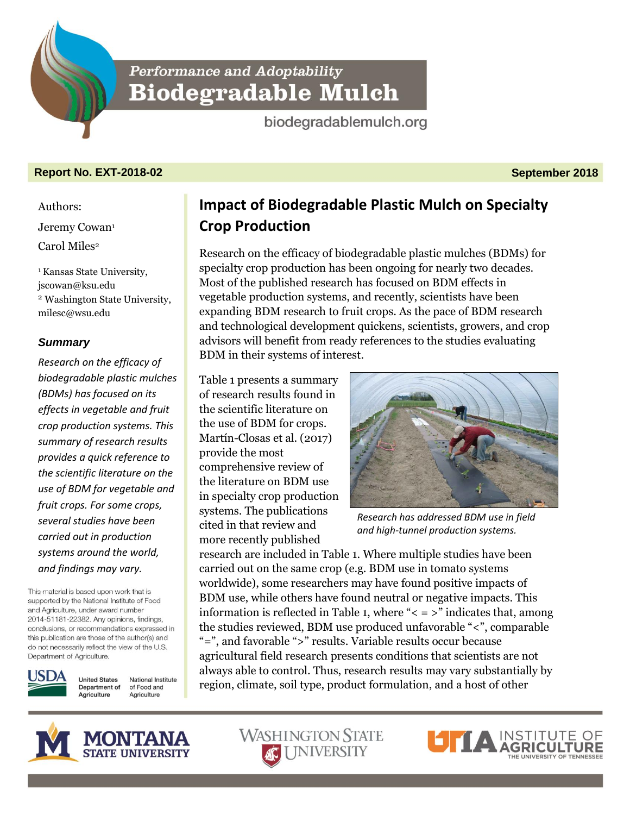**Performance and Adoptability Biodegradable Mulch** 

biodegradablemulch.org

# **Report No. EXT-2018-02 September 2018**

Authors: Jeremy Cowan<sup>1</sup> Carol Miles<sup>2</sup>

<sup>1</sup> Kansas State University, jscowan@ksu.edu <sup>2</sup> Washington State University, milesc@wsu.edu

# *Summary*

*Research on the efficacy of biodegradable plastic mulches (BDMs) has focused on its effects in vegetable and fruit crop production systems. This summary of research results provides a quick reference to the scientific literature on the use of BDM for vegetable and fruit crops. For some crops, several studies have been carried out in production systems around the world, and findings may vary.*

This material is based upon work that is supported by the National Institute of Food and Agriculture, under award number 2014-51181-22382. Any opinions, findings, conclusions, or recommendations expressed in this publication are those of the author(s) and do not necessarily reflect the view of the U.S. Department of Agriculture.



**United States** National Institute Department of of Food and Agriculture Agriculture

**Impact of Biodegradable Plastic Mulch on Specialty Crop Production**

Research on the efficacy of biodegradable plastic mulches (BDMs) for specialty crop production has been ongoing for nearly two decades. Most of the published research has focused on BDM effects in vegetable production systems, and recently, scientists have been expanding BDM research to fruit crops. As the pace of BDM research and technological development quickens, scientists, growers, and crop advisors will benefit from ready references to the studies evaluating BDM in their systems of interest.

Table 1 presents a summary of research results found in the scientific literature on the use of BDM for crops. Martín-Closas et al. (2017) provide the most comprehensive review of the literature on BDM use in specialty crop production systems. The publications cited in that review and more recently published



*Research has addressed BDM use in field and high-tunnel production systems.*

research are included in Table 1. Where multiple studies have been carried out on the same crop (e.g. BDM use in tomato systems worldwide), some researchers may have found positive impacts of BDM use, while others have found neutral or negative impacts. This information is reflected in Table 1, where " $\lt$  =  $>$ " indicates that, among the studies reviewed, BDM use produced unfavorable "<", comparable "=", and favorable ">" results. Variable results occur because agricultural field research presents conditions that scientists are not always able to control. Thus, research results may vary substantially by region, climate, soil type, product formulation, and a host of other





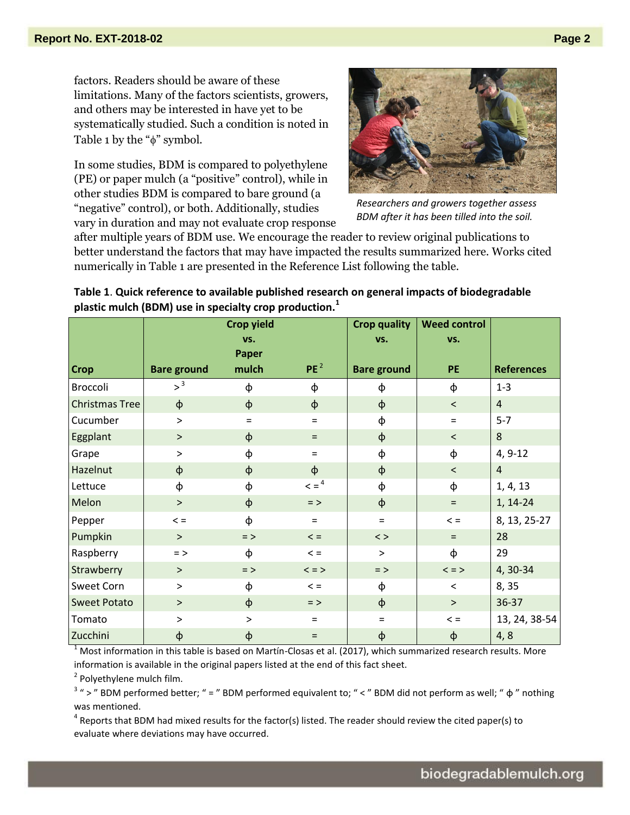factors. Readers should be aware of these limitations. Many of the factors scientists, growers, and others may be interested in have yet to be systematically studied. Such a condition is noted in Table 1 by the " $\phi$ " symbol.

In some studies, BDM is compared to polyethylene (PE) or paper mulch (a "positive" control), while in other studies BDM is compared to bare ground (a "negative" control), or both. Additionally, studies vary in duration and may not evaluate crop response



*Researchers and growers together assess BDM after it has been tilled into the soil.* 

after multiple years of BDM use. We encourage the reader to review original publications to better understand the factors that may have impacted the results summarized here. Works cited numerically in Table 1 are presented in the Reference List following the table.

|                       |                    | <b>Crop yield</b><br>VS. |                        | <b>Crop quality</b><br>VS. | <b>Weed control</b><br>VS. |                   |
|-----------------------|--------------------|--------------------------|------------------------|----------------------------|----------------------------|-------------------|
|                       |                    | Paper                    |                        |                            |                            |                   |
| <b>Crop</b>           | <b>Bare ground</b> | mulch                    | PE <sup>2</sup>        | <b>Bare ground</b>         | PE                         | <b>References</b> |
| Broccoli              | >3                 | φ                        | φ                      | φ                          | φ                          | $1 - 3$           |
| <b>Christmas Tree</b> | $\phi$             | $\Phi$                   | $\phi$                 | $\phi$                     | $\,<$                      | $\overline{4}$    |
| Cucumber              | $\, > \,$          | $\equiv$                 | $\equiv$               | ф                          | $=$                        | $5 - 7$           |
| Eggplant              | $\geq$             | φ                        | $\equiv$               | $\phi$                     | $\overline{\phantom{0}}$   | 8                 |
| Grape                 | $\, > \,$          | ф                        | $\equiv$               | ф                          | φ                          | $4, 9-12$         |
| Hazelnut              | $\phi$             | $\phi$                   | $\phi$                 | $\phi$                     | $\prec$                    | $\overline{4}$    |
| Lettuce               | φ                  | ф                        | $\leq$ = $\frac{4}{x}$ | ф                          | φ                          | 1, 4, 13          |
| Melon                 | $\geq$             | $\phi$                   | $=$ >                  | $\phi$                     | $\equiv$                   | 1, 14-24          |
| Pepper                | $\leq$ =           | ф                        | $=$                    | $=$                        | $\lt$ =                    | 8, 13, 25-27      |
| Pumpkin               | $\geq$             | $=$ >                    | $\lt$ =                | $\langle$ >                | $=$                        | 28                |
| Raspberry             | $=$ >              | ф                        | $\leq$ =               | $\geq$                     | ф                          | 29                |
| Strawberry            | $\geq$             | $=$ >                    | $\lt$ = $>$            | $=$ >                      | $\lt$ = $>$                | 4, 30-34          |
| Sweet Corn            | $\, >$             | φ                        | $\leq$ =               | $\phi$                     | $\,<\,$                    | 8, 35             |
| <b>Sweet Potato</b>   | $\geq$             | $\phi$                   | $=$ >                  | $\phi$                     | $\, >$                     | 36-37             |
| Tomato                | $\, > \,$          | $\, > \,$                | $\equiv$               | $=$                        | $\lt$ =                    | 13, 24, 38-54     |
| Zucchini              | φ                  | φ                        | $\equiv$               | $\boldsymbol{\varphi}$     | φ                          | 4, 8              |

**Table 1**. **Quick reference to available published research on general impacts of biodegradable plastic mulch (BDM) use in specialty crop production.<sup>1</sup>**

 $1$  Most information in this table is based on Martín-Closas et al. (2017), which summarized research results. More information is available in the original papers listed at the end of this fact sheet.

<sup>2</sup> Polyethylene mulch film.

 $3$  " > " BDM performed better; " = " BDM performed equivalent to; " < " BDM did not perform as well; "  $\phi$  " nothing was mentioned.

 $^4$  Reports that BDM had mixed results for the factor(s) listed. The reader should review the cited paper(s) to evaluate where deviations may have occurred.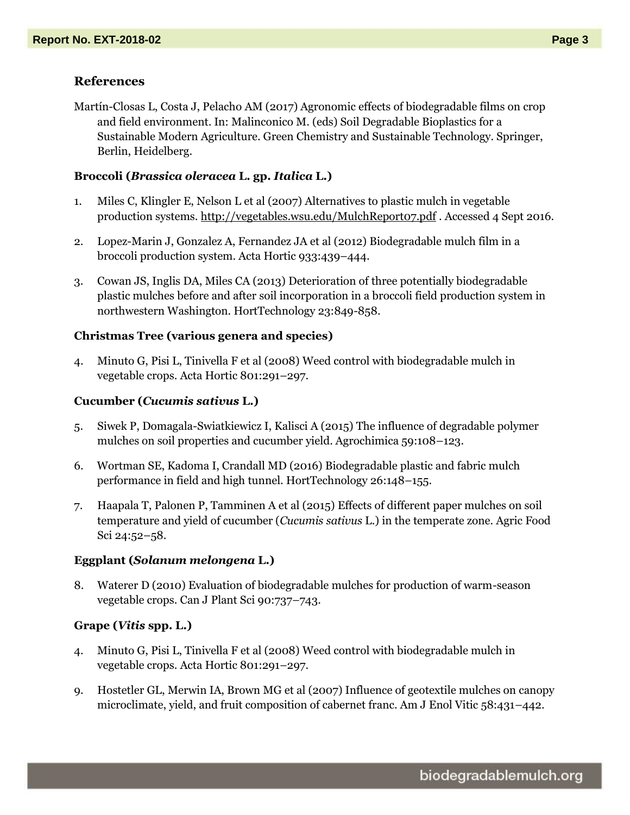## **References**

Martín-Closas L, Costa J, Pelacho AM (2017) Agronomic effects of biodegradable films on crop and field environment. In: Malinconico M. (eds) Soil Degradable Bioplastics for a Sustainable Modern Agriculture. Green Chemistry and Sustainable Technology. Springer, Berlin, Heidelberg.

#### **Broccoli (***Brassica oleracea* **L. gp.** *Italica* **L.)**

- 1. Miles C, Klingler E, Nelson L et al (2007) Alternatives to plastic mulch in vegetable production systems.<http://vegetables.wsu.edu/MulchReport07.pdf> . Accessed 4 Sept 2016.
- 2. Lopez-Marin J, Gonzalez A, Fernandez JA et al (2012) Biodegradable mulch film in a broccoli production system. Acta Hortic 933:439–444.
- 3. Cowan JS, Inglis DA, Miles CA (2013) Deterioration of three potentially biodegradable plastic mulches before and after soil incorporation in a broccoli field production system in northwestern Washington. HortTechnology 23:849-858.

## **Christmas Tree (various genera and species)**

4. Minuto G, Pisi L, Tinivella F et al (2008) Weed control with biodegradable mulch in vegetable crops. Acta Hortic 801:291–297.

### **Cucumber (***Cucumis sativus* **L.)**

- 5. Siwek P, Domagala-Swiatkiewicz I, Kalisci A (2015) The influence of degradable polymer mulches on soil properties and cucumber yield. Agrochimica 59:108–123.
- 6. Wortman SE, Kadoma I, Crandall MD (2016) Biodegradable plastic and fabric mulch performance in field and high tunnel. HortTechnology 26:148–155.
- 7. Haapala T, Palonen P, Tamminen A et al (2015) Effects of different paper mulches on soil temperature and yield of cucumber (*Cucumis sativus* L.) in the temperate zone. Agric Food Sci 24:52–58.

#### **Eggplant (***Solanum melongena* **L.)**

8. Waterer D (2010) Evaluation of biodegradable mulches for production of warm-season vegetable crops. Can J Plant Sci 90:737–743.

### **Grape (***Vitis* **spp. L.)**

- 4. Minuto G, Pisi L, Tinivella F et al (2008) Weed control with biodegradable mulch in vegetable crops. Acta Hortic 801:291–297.
- 9. Hostetler GL, Merwin IA, Brown MG et al (2007) Influence of geotextile mulches on canopy microclimate, yield, and fruit composition of cabernet franc. Am J Enol Vitic 58:431–442.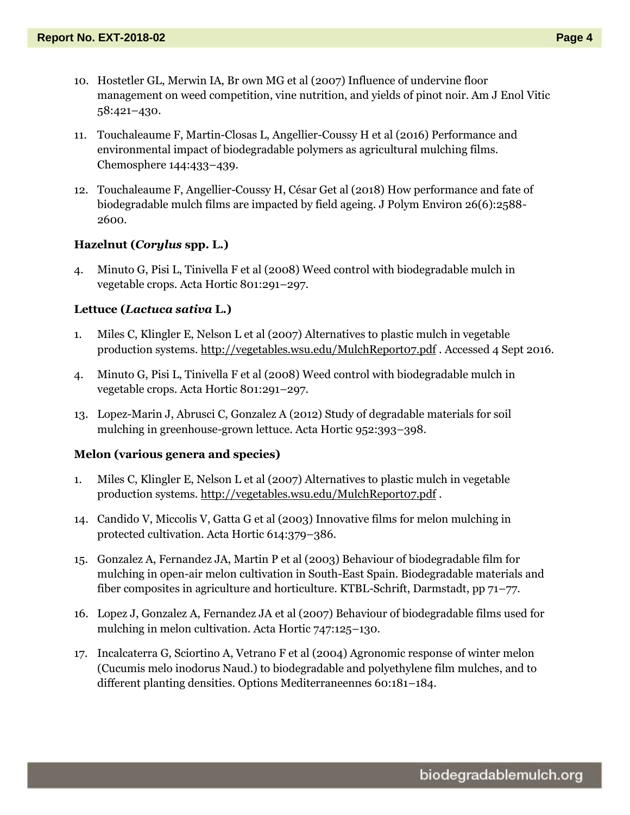- 10. Hostetler GL, Merwin IA, Br own MG et al (2007) Influence of undervine floor management on weed competition, vine nutrition, and yields of pinot noir. Am J Enol Vitic 58:421–430.
- 11. Touchaleaume F, Martin-Closas L, Angellier-Coussy H et al (2016) Performance and environmental impact of biodegradable polymers as agricultural mulching films. Chemosphere 144:433–439.
- 12. Touchaleaume F, Angellier-Coussy H, César Get al (2018) How performance and fate of biodegradable mulch films are impacted by field ageing. J Polym Environ 26(6):2588- 2600.

### **Hazelnut (***Corylus* **spp. L.)**

4. Minuto G, Pisi L, Tinivella F et al (2008) Weed control with biodegradable mulch in vegetable crops. Acta Hortic 801:291–297.

#### **Lettuce (***Lactuca sativa* **L.)**

- 1. Miles C, Klingler E, Nelson L et al (2007) Alternatives to plastic mulch in vegetable production systems.<http://vegetables.wsu.edu/MulchReport07.pdf> . Accessed 4 Sept 2016.
- 4. Minuto G, Pisi L, Tinivella F et al (2008) Weed control with biodegradable mulch in vegetable crops. Acta Hortic 801:291–297.
- 13. Lopez-Marin J, Abrusci C, Gonzalez A (2012) Study of degradable materials for soil mulching in greenhouse-grown lettuce. Acta Hortic 952:393–398.

#### **Melon (various genera and species)**

- 1. Miles C, Klingler E, Nelson L et al (2007) Alternatives to plastic mulch in vegetable production systems.<http://vegetables.wsu.edu/MulchReport07.pdf> .
- 14. Candido V, Miccolis V, Gatta G et al (2003) Innovative films for melon mulching in protected cultivation. Acta Hortic 614:379–386.
- 15. Gonzalez A, Fernandez JA, Martin P et al (2003) Behaviour of biodegradable film for mulching in open-air melon cultivation in South-East Spain. Biodegradable materials and fiber composites in agriculture and horticulture. KTBL-Schrift, Darmstadt, pp 71–77.
- 16. Lopez J, Gonzalez A, Fernandez JA et al (2007) Behaviour of biodegradable films used for mulching in melon cultivation. Acta Hortic 747:125–130.
- 17. Incalcaterra G, Sciortino A, Vetrano F et al (2004) Agronomic response of winter melon (Cucumis melo inodorus Naud.) to biodegradable and polyethylene film mulches, and to different planting densities. Options Mediterraneennes 60:181–184.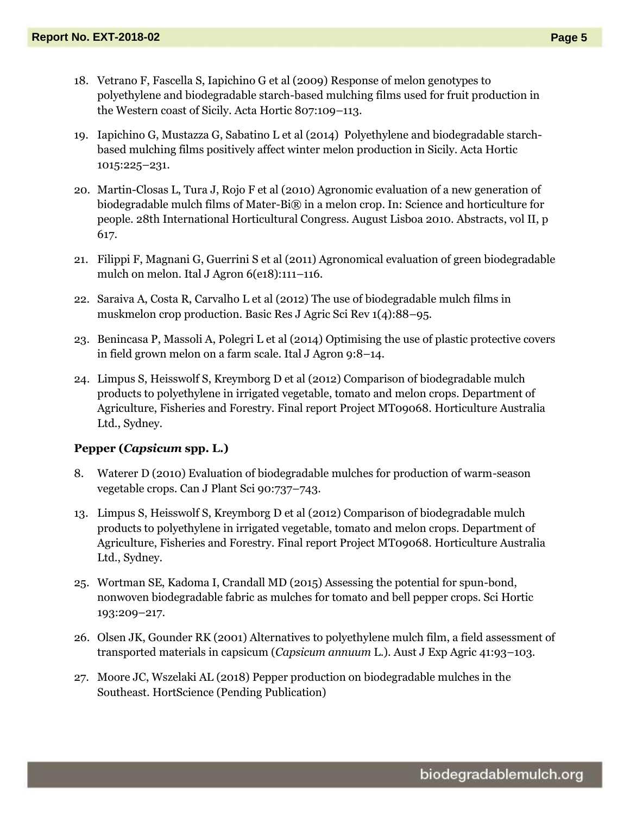- 18. Vetrano F, Fascella S, Iapichino G et al (2009) Response of melon genotypes to polyethylene and biodegradable starch-based mulching films used for fruit production in the Western coast of Sicily. Acta Hortic 807:109–113.
- 19. Iapichino G, Mustazza G, Sabatino L et al (2014) Polyethylene and biodegradable starchbased mulching films positively affect winter melon production in Sicily. Acta Hortic 1015:225–231.
- 20. Martin-Closas L, Tura J, Rojo F et al (2010) Agronomic evaluation of a new generation of biodegradable mulch films of Mater-Bi® in a melon crop. In: Science and horticulture for people. 28th International Horticultural Congress. August Lisboa 2010. Abstracts, vol II, p 617.
- 21. Filippi F, Magnani G, Guerrini S et al (2011) Agronomical evaluation of green biodegradable mulch on melon. Ital J Agron 6(e18):111–116.
- 22. Saraiva A, Costa R, Carvalho L et al (2012) The use of biodegradable mulch films in muskmelon crop production. Basic Res J Agric Sci Rev 1(4):88–95.
- 23. Benincasa P, Massoli A, Polegri L et al (2014) Optimising the use of plastic protective covers in field grown melon on a farm scale. Ital J Agron 9:8–14.
- 24. Limpus S, Heisswolf S, Kreymborg D et al (2012) Comparison of biodegradable mulch products to polyethylene in irrigated vegetable, tomato and melon crops. Department of Agriculture, Fisheries and Forestry. Final report Project MT09068. Horticulture Australia Ltd., Sydney.

## **Pepper (***Capsicum* **spp. L.)**

- 8. Waterer D (2010) Evaluation of biodegradable mulches for production of warm-season vegetable crops. Can J Plant Sci 90:737–743.
- 13. Limpus S, Heisswolf S, Kreymborg D et al (2012) Comparison of biodegradable mulch products to polyethylene in irrigated vegetable, tomato and melon crops. Department of Agriculture, Fisheries and Forestry. Final report Project MT09068. Horticulture Australia Ltd., Sydney.
- 25. Wortman SE, Kadoma I, Crandall MD (2015) Assessing the potential for spun-bond, nonwoven biodegradable fabric as mulches for tomato and bell pepper crops. Sci Hortic 193:209–217.
- 26. Olsen JK, Gounder RK (2001) Alternatives to polyethylene mulch film, a field assessment of transported materials in capsicum (*Capsicum annuum* L.). Aust J Exp Agric 41:93–103.
- 27. Moore JC, Wszelaki AL (2018) Pepper production on biodegradable mulches in the Southeast. HortScience (Pending Publication)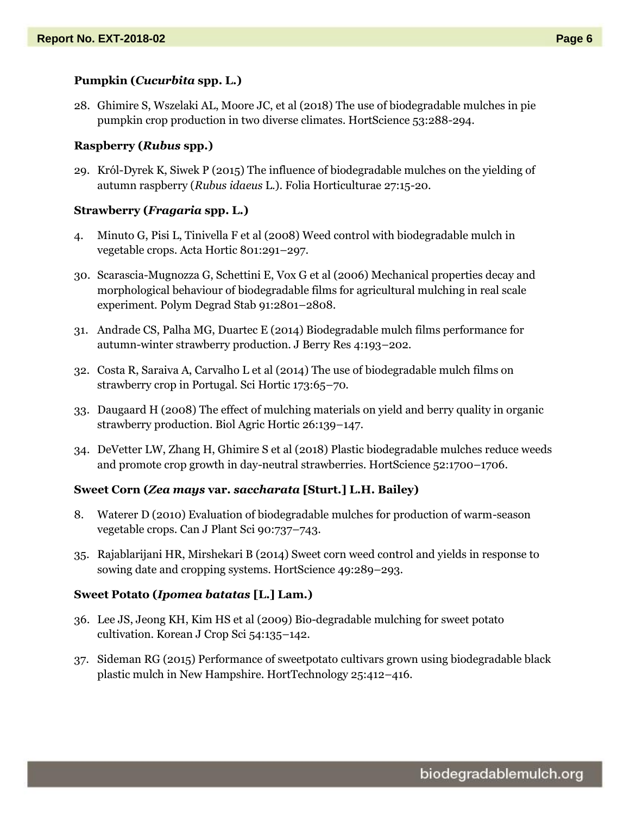## **Pumpkin (***Cucurbita* **spp. L.)**

28. Ghimire S, Wszelaki AL, Moore JC, et al (2018) The use of biodegradable mulches in pie pumpkin crop production in two diverse climates. HortScience 53:288-294.

## **Raspberry (***Rubus* **spp.)**

29. Król-Dyrek K, Siwek P (2015) The influence of biodegradable mulches on the yielding of autumn raspberry (*Rubus idaeus* L.). Folia Horticulturae 27:15-20.

## **Strawberry (***Fragaria* **spp. L.)**

- 4. Minuto G, Pisi L, Tinivella F et al (2008) Weed control with biodegradable mulch in vegetable crops. Acta Hortic 801:291–297.
- 30. Scarascia-Mugnozza G, Schettini E, Vox G et al (2006) Mechanical properties decay and morphological behaviour of biodegradable films for agricultural mulching in real scale experiment. Polym Degrad Stab 91:2801–2808.
- 31. Andrade CS, Palha MG, Duartec E (2014) Biodegradable mulch films performance for autumn-winter strawberry production. J Berry Res 4:193–202.
- 32. Costa R, Saraiva A, Carvalho L et al (2014) The use of biodegradable mulch films on strawberry crop in Portugal. Sci Hortic 173:65–70.
- 33. Daugaard H (2008) The effect of mulching materials on yield and berry quality in organic strawberry production. Biol Agric Hortic 26:139–147.
- 34. DeVetter LW, Zhang H, Ghimire S et al (2018) Plastic biodegradable mulches reduce weeds and promote crop growth in day-neutral strawberries. HortScience 52:1700–1706.

## **Sweet Corn (***Zea mays* **var.** *saccharata* **[Sturt.] L.H. Bailey)**

- 8. Waterer D (2010) Evaluation of biodegradable mulches for production of warm-season vegetable crops. Can J Plant Sci 90:737–743.
- 35. Rajablarijani HR, Mirshekari B (2014) Sweet corn weed control and yields in response to sowing date and cropping systems. HortScience 49:289–293.

## **Sweet Potato (***Ipomea batatas* **[L.] Lam.)**

- 36. Lee JS, Jeong KH, Kim HS et al (2009) Bio-degradable mulching for sweet potato cultivation. Korean J Crop Sci 54:135–142.
- 37. Sideman RG (2015) Performance of sweetpotato cultivars grown using biodegradable black plastic mulch in New Hampshire. HortTechnology 25:412–416.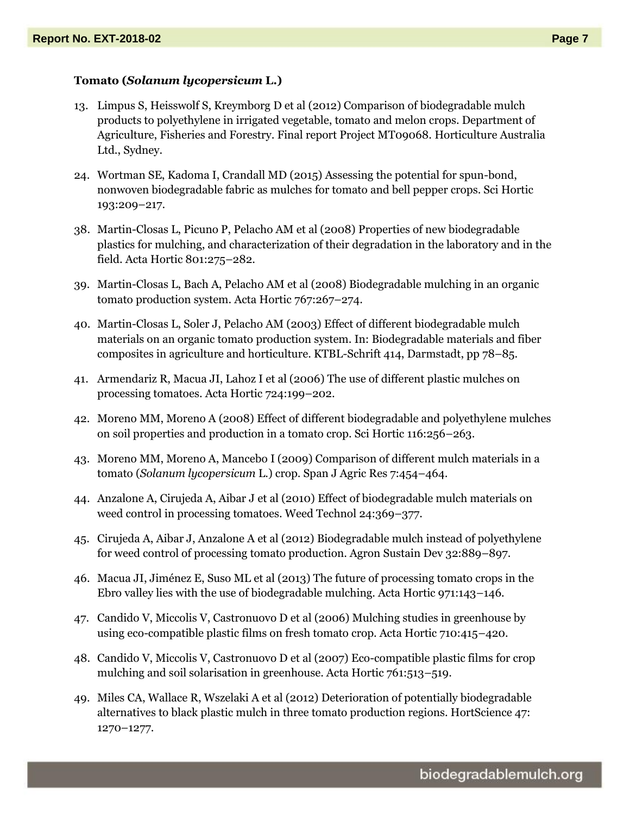#### **Tomato (***Solanum lycopersicum* **L.)**

- 13. Limpus S, Heisswolf S, Kreymborg D et al (2012) Comparison of biodegradable mulch products to polyethylene in irrigated vegetable, tomato and melon crops. Department of Agriculture, Fisheries and Forestry. Final report Project MT09068. Horticulture Australia Ltd., Sydney.
- 24. Wortman SE, Kadoma I, Crandall MD (2015) Assessing the potential for spun-bond, nonwoven biodegradable fabric as mulches for tomato and bell pepper crops. Sci Hortic 193:209–217.
- 38. Martin-Closas L, Picuno P, Pelacho AM et al (2008) Properties of new biodegradable plastics for mulching, and characterization of their degradation in the laboratory and in the field. Acta Hortic 801:275–282.
- 39. Martin-Closas L, Bach A, Pelacho AM et al (2008) Biodegradable mulching in an organic tomato production system. Acta Hortic 767:267–274.
- 40. Martin-Closas L, Soler J, Pelacho AM (2003) Effect of different biodegradable mulch materials on an organic tomato production system. In: Biodegradable materials and fiber composites in agriculture and horticulture. KTBL-Schrift 414, Darmstadt, pp 78–85.
- 41. Armendariz R, Macua JI, Lahoz I et al (2006) The use of different plastic mulches on processing tomatoes. Acta Hortic 724:199–202.
- 42. Moreno MM, Moreno A (2008) Effect of different biodegradable and polyethylene mulches on soil properties and production in a tomato crop. Sci Hortic 116:256–263.
- 43. Moreno MM, Moreno A, Mancebo I (2009) Comparison of different mulch materials in a tomato (*Solanum lycopersicum* L.) crop. Span J Agric Res 7:454–464.
- 44. Anzalone A, Cirujeda A, Aibar J et al (2010) Effect of biodegradable mulch materials on weed control in processing tomatoes. Weed Technol 24:369–377.
- 45. Cirujeda A, Aibar J, Anzalone A et al (2012) Biodegradable mulch instead of polyethylene for weed control of processing tomato production. Agron Sustain Dev 32:889–897.
- 46. Macua JI, Jiménez E, Suso ML et al (2013) The future of processing tomato crops in the Ebro valley lies with the use of biodegradable mulching. Acta Hortic 971:143–146.
- 47. Candido V, Miccolis V, Castronuovo D et al (2006) Mulching studies in greenhouse by using eco-compatible plastic films on fresh tomato crop. Acta Hortic 710:415–420.
- 48. Candido V, Miccolis V, Castronuovo D et al (2007) Eco-compatible plastic films for crop mulching and soil solarisation in greenhouse. Acta Hortic 761:513–519.
- 49. Miles CA, Wallace R, Wszelaki A et al (2012) Deterioration of potentially biodegradable alternatives to black plastic mulch in three tomato production regions. HortScience 47: 1270–1277.